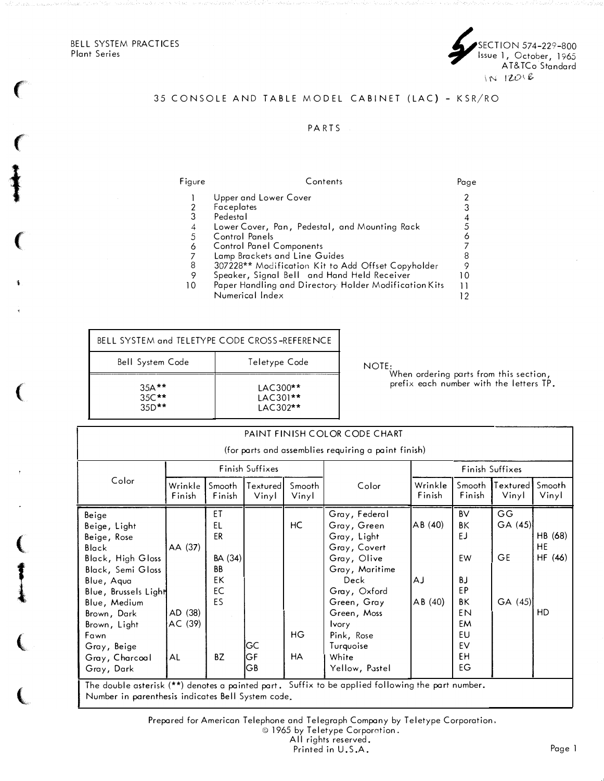BELL SYSTEM PRACTICES<br>Plant Series Plant Series 7 Pant Series 7 Plant Series 7 Plant Series 7 Plant Series 7 Plant Series 7 Plant Series 7 Plant

 $\big($ 

 $\ddagger$ 

 $\mathbf{C}$ 

 $\mathbf{C}$ 

(

**I** 



# 35 CONSOLE AND TABLE MODEL CABINET (LAC) - KSR/RO

### P A RTS

Figure Contents Page 1 Upper and Lower Cover 2 2 Faceplates 2 3 2 Faceplates<br>
3 Pedestal 4<br>
4 Lower Cover, Pan, Pedestal, and Mounting Rack 5<br>
5 Control Panels 6 3 Pedestal 4 4 Lower Cover, Pan, Pedestal, and Mounting Rack  $5$ 5 Control Panels 6<br>6 Control Panel Components 6 2 2 2 3 4 4 5 6 7 7 6 Control Panel Components 7 7 Lamp Brackets and Line Guides<br>8 307228\*\* Modification Kit to Add Offset Copyholder 9 8 307228\*\* Modification Kit to Add Offset Copyholder 9 9 Speaker, Signal Bell and Hand Held Receiver 10 10 Paper Handling and Directory Holder Modification Kits 11<br>12 Numerical Index Numerical Index

| BELL SYSTEM and TELETYPE CODE CROSS-REFERENCE |                                      |       |
|-----------------------------------------------|--------------------------------------|-------|
| <b>Bell System Code</b>                       | Teletype Code                        | NOTE: |
| $35A**$<br>$35C**$<br>$35D**$                 | $LAC300**$<br>LAC301**<br>$IAC302**$ |       |

When ordering parts from this section, pretix each number with the letters IP.  $\,$ 

| PAINT FINISH COLOR CODE CHART                                                                                                                                                                                                              |                                     |                                                                |                   |                        |                                                                                                                                                                                                                          |                        |                                                                                                 |                                      |                                |
|--------------------------------------------------------------------------------------------------------------------------------------------------------------------------------------------------------------------------------------------|-------------------------------------|----------------------------------------------------------------|-------------------|------------------------|--------------------------------------------------------------------------------------------------------------------------------------------------------------------------------------------------------------------------|------------------------|-------------------------------------------------------------------------------------------------|--------------------------------------|--------------------------------|
|                                                                                                                                                                                                                                            |                                     |                                                                |                   |                        | (for parts and assemblies requiring a paint finish)                                                                                                                                                                      |                        |                                                                                                 |                                      |                                |
| Color                                                                                                                                                                                                                                      | Finish Suffixes                     |                                                                |                   |                        | Finish Suffixes                                                                                                                                                                                                          |                        |                                                                                                 |                                      |                                |
|                                                                                                                                                                                                                                            | Wrinkle<br>Finish                   | Smooth<br>Finish                                               | Textured<br>Vinyl | Smooth<br>Vinyl        | Color                                                                                                                                                                                                                    | Wrinkle<br>Finish      | Smooth<br>Finish                                                                                | Textured<br>Vinyl                    | Smooth<br>Vinyl                |
| Beige<br>Beige, Light<br>Beige, Rose<br>Black<br><b>Black, High Gloss</b><br>Black, Semi Gloss<br>Blue, Aqua<br>Blue, Brussels Light<br>Blue, Medium<br>Brown, Dark<br>Brown, Light<br>Fawn<br>Gray, Beige<br>Gray, Charcoal<br>Gray, Dark | AA (37)<br>AD (38)<br>AC (39)<br>AL | ET<br>EL<br>ER<br>BA (34)<br><b>BB</b><br>EK<br>EC<br>ES<br>BZ | GС<br>ĠF<br>GΒ    | HC<br>HG.<br><b>HA</b> | Gray, Federal<br>Gray, Green<br>Gray, Light<br>Gray, Covert<br>Gray, Olive<br>Gray, Maritime<br>Deck<br>Gray, Oxford<br>Green, Gray<br>Green, Moss<br><b>Ivory</b><br>Pink, Rose<br>Turquoise<br>White<br>Yellow, Pastel | AB(40)<br>АJ<br>AB(40) | <b>BV</b><br>ΒK<br>EJ<br><b>FW</b><br><b>BJ</b><br>EP<br>ΒK<br>EN<br>EM<br>EU<br>EV<br>EH<br>EG | GG<br>GA(45)<br><b>GE</b><br>GA (45) | HB (68)<br>HE<br>HF (46)<br>HD |
| The double asterisk (**) denotes a painted part. Suffix to be applied following the part number.<br>Number in parenthesis indicates Bell System code.                                                                                      |                                     |                                                                |                   |                        |                                                                                                                                                                                                                          |                        |                                                                                                 |                                      |                                |

Prepared for American Telephone and Telegraph Company by Teletype Corporation,

|  |  |  |  |  |  | © 1965 by Teletype Corporation. |
|--|--|--|--|--|--|---------------------------------|
|--|--|--|--|--|--|---------------------------------|

All rights reserved.

Printed in U.S.A.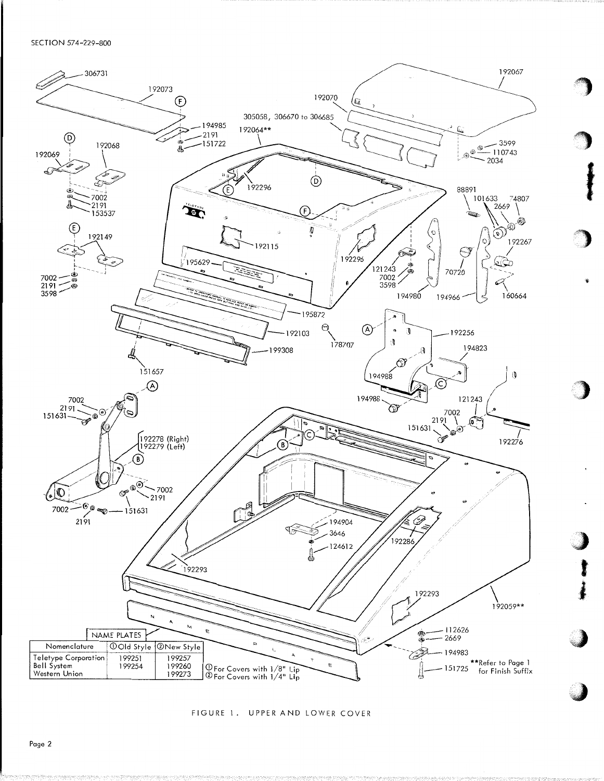

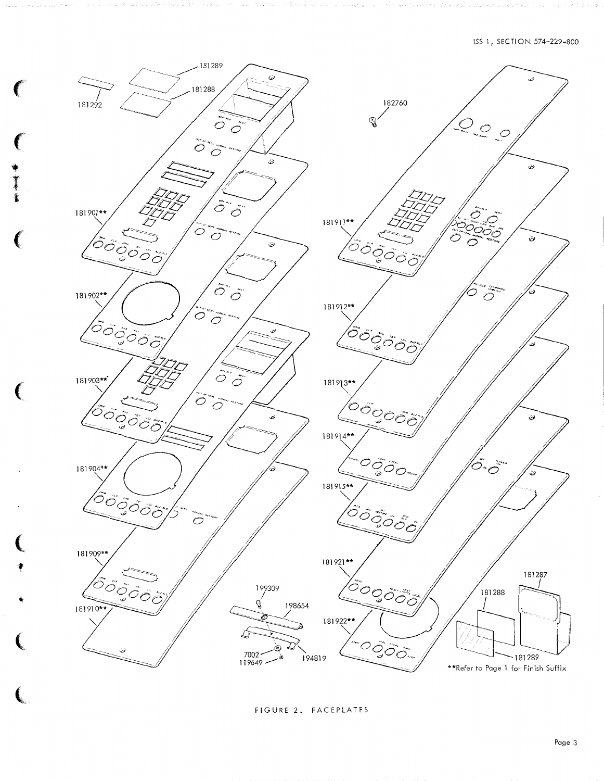

● すま

FIGURE 2. FACEPLATES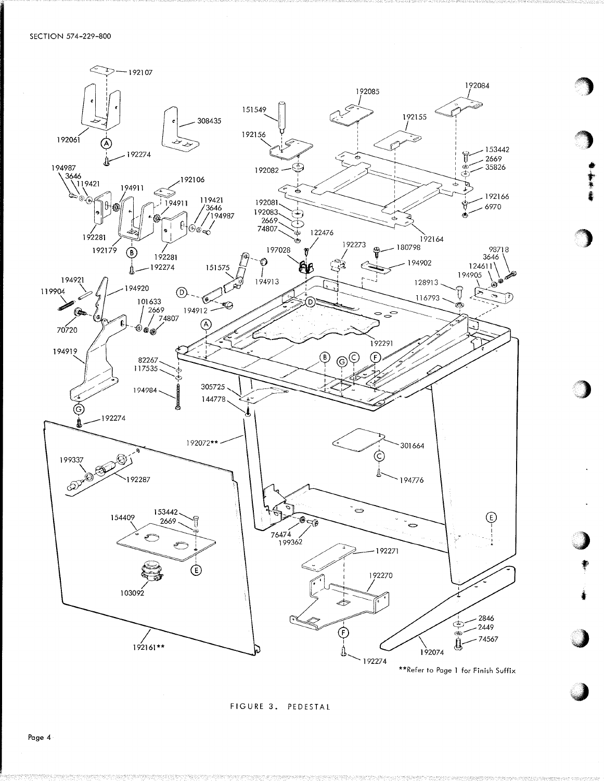

FIGURE 3. PEDESTAL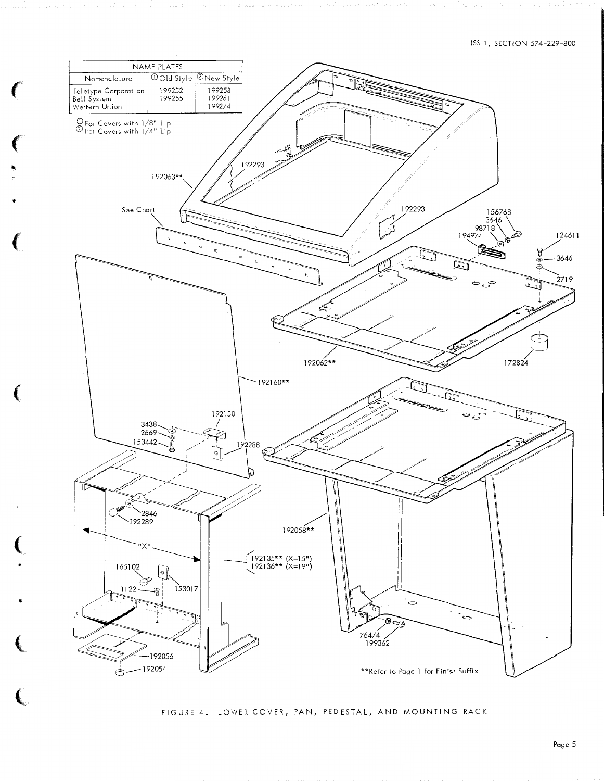## ISS 1, SECTION 574-229-800



FIGURE 4. LOWER COVER, PAN, PEDESTAL, AND MOUNTING RACK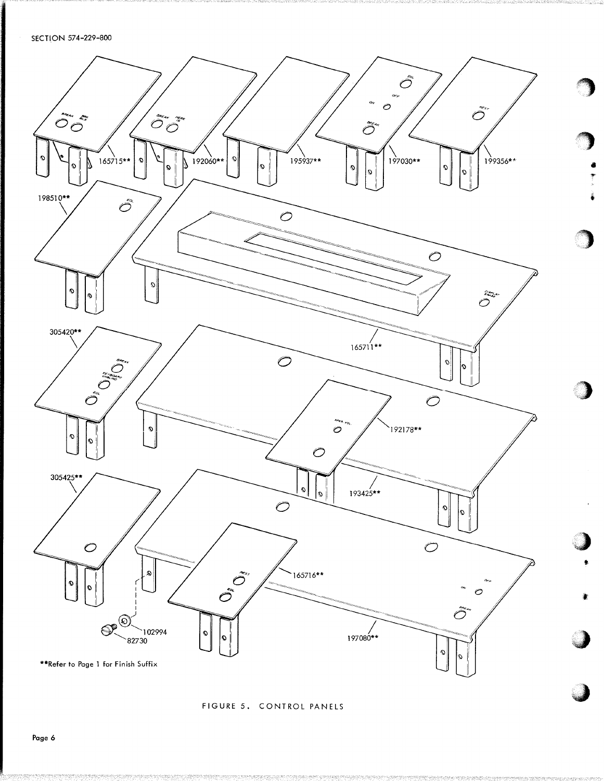

FIGURE 5. CONTROL PANELS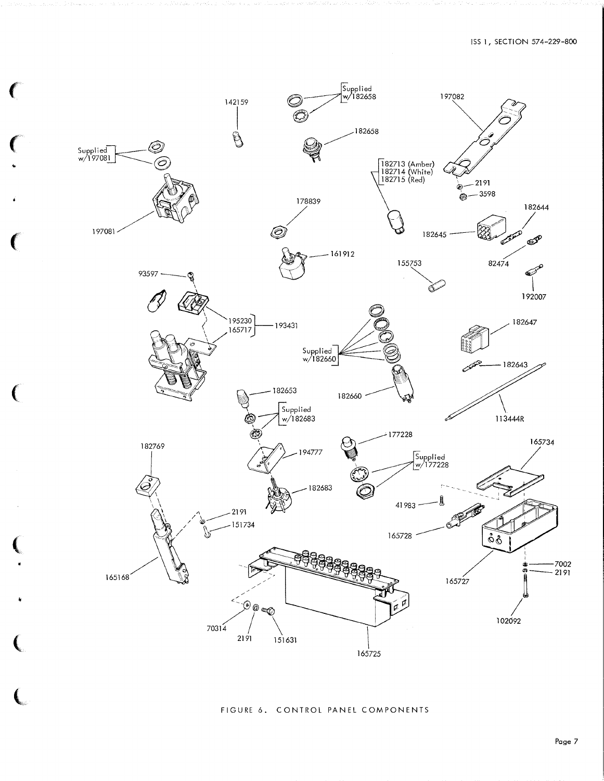

€

### FIGURE 6. CONTROL PANEL COMPONENTS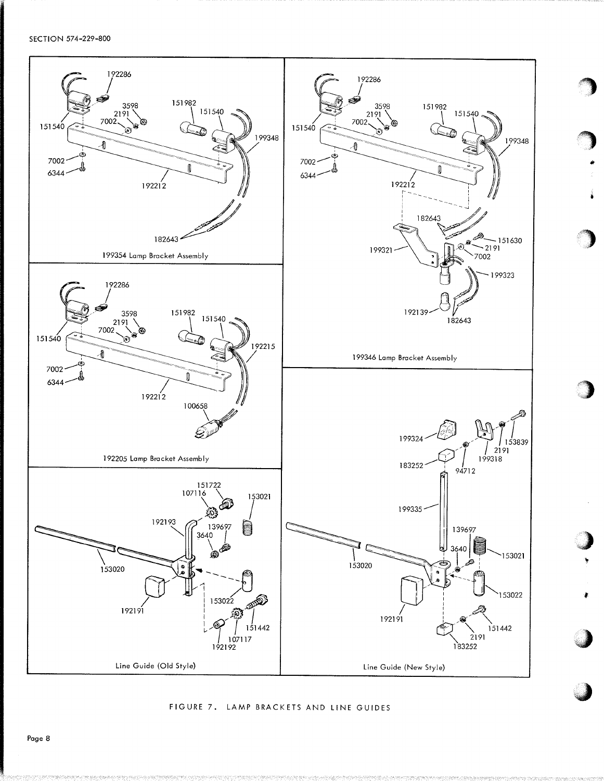SECTION 574-229-800



FIGURE 7. LAMP BRACKETS AND LINE GUIDES

Page 8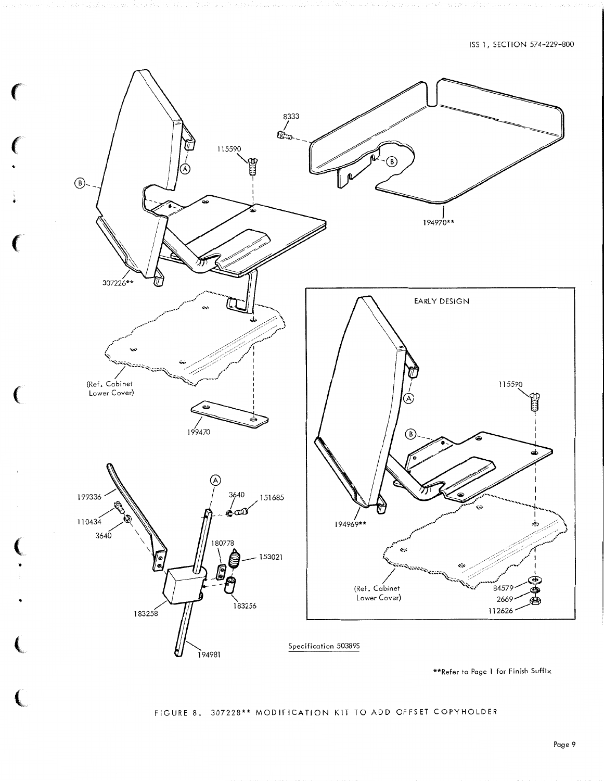

**CONTRACTOR** 

Ç

FIGURE 8. 307228\*\* MODIFICATION KIT TO ADD OFFSET COPYHOLDER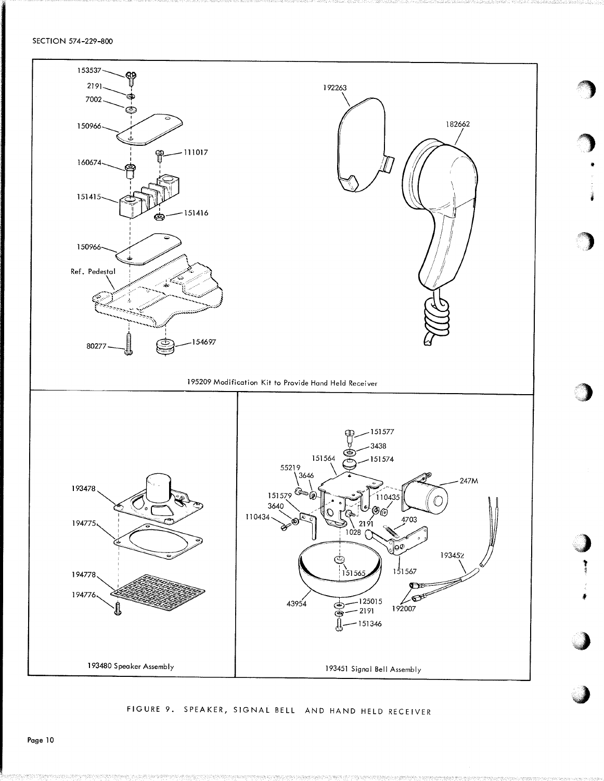SECTION 574-229-800



FIGURE 9. SPEAKER, SIGNAL BELL AND HAND HELD RECEIVER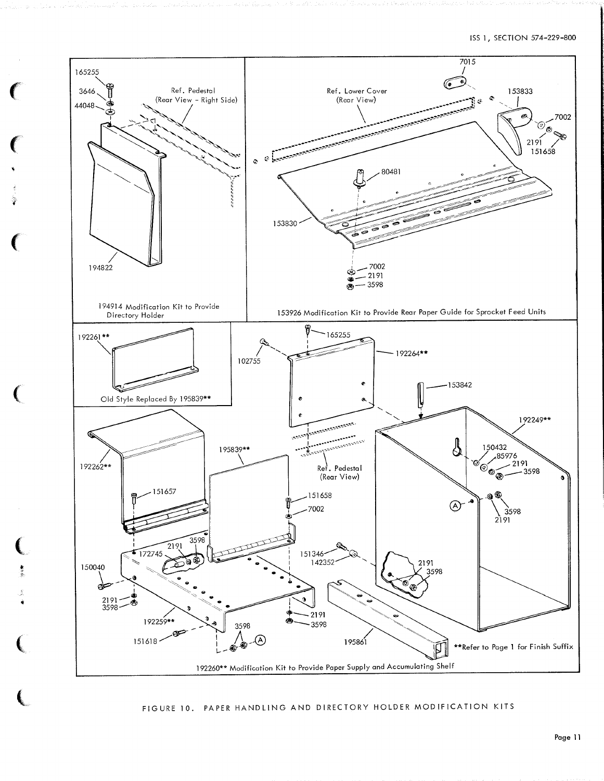

FIGURE 10. PAPER HANDLING AND DIRECTORY HOLDER MODIFICATION KITS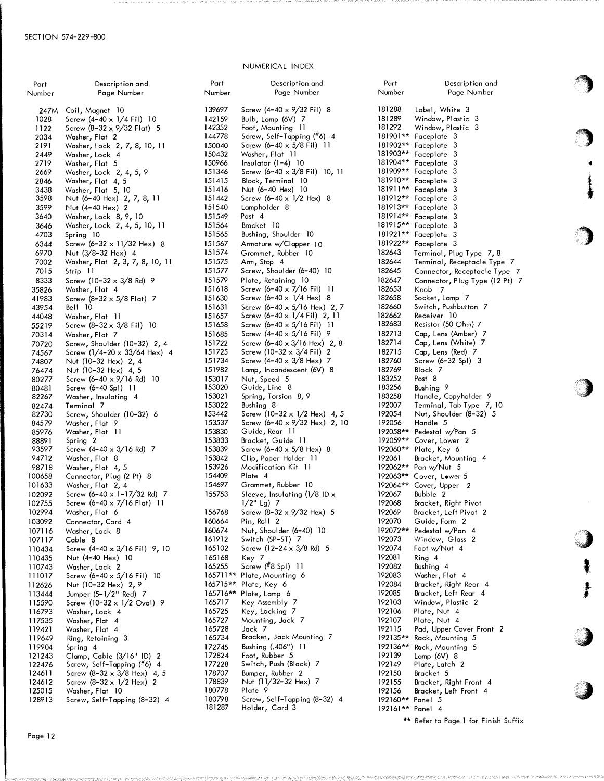#### NUMERICAL INDEX

Description and Page Number Screw (4-40 x 9/32 Fil) 8

Port Number 139697

| Part   | Description and                   |
|--------|-----------------------------------|
| Number | Page Number                       |
|        |                                   |
| 247M   | Coil, Magnet 10                   |
| 1028   | Screw (4-40 x 1/4 Fil) 10         |
| 1122   | Screw (8-32 x 9/32 Flat) 5        |
| 2034   | Washer, Flat 2                    |
| 2191   | Washer, Lock 2, 7, 8, 10, 11      |
| 2449   | Washer, Lock 4                    |
| 2719   | Washer, Flat 5                    |
| 2669   | Washer, Lock 2, 4, 5, 9           |
| 2846   | Washer, Flat 4, 5                 |
| 3438   |                                   |
| 3598   | Washer, Flat 5, 10                |
|        | Nut (6-40 Hex) 2, 7, 8, 11        |
| 3599   | Nut (4-40 Hex) 2                  |
| 3640   | Washer, Lock 8, 9, 10             |
| 3646   | Washer, Lock 2, 4, 5, 10, 11      |
| 4703   | Spring 10                         |
| 6344   | Screw $(6-32 \times 11/32$ Hex) 8 |
| 6970   | Nut (3/8-32 Hex) 4                |
| 7002   | Washer, Flat 2, 3, 7, 8, 10, 11   |
| 7015   | Strip 11                          |
| 8333   | Screw (10-32 x 3/8 Rd) 9          |
| 35826  | Washer, Flat 4                    |
| 41983  | Screw (8–32 $\times$ 5/8 Flat) 7  |
|        | Bell 10                           |
| 43954  |                                   |
| 44048  | Washer, Flat 11                   |
| 55219  | Screw (8-32 x 3/8 Fil) 10         |
| 70314  | Washer <b>,</b> Flat 7            |
| 70720  | Screw, Shoulder (10-32) 2, 4      |
| 74567  | Screw (1/4-20 x 33/64 Hex) 4      |
| 74807  | Nut (10-32 Hex) 2, 4              |
| 76474  | Nut (10-32 Hex) 4, 5              |
| 80277  | Screw (6-40 x 9/16 Rd) 10         |
| 80481  | Screw (6-40 Spl) 11               |
| 82267  | Washer, Insulating 4              |
| 82474  | Terminal 7                        |
| 82730  | Screw, Shoulder (10-32) 6         |
| 84579  | Washer <b>,</b> Flat 9            |
| 85976  | Washer, Flat 11                   |
| 88891  | Spring 2                          |
| 93597  | Screw (4-40 x 3/16 Rd) 7          |
| 94712  | Washer <b>,</b> Flat 8            |
| 98718  | Washer, Flat 4, 5                 |
| 100658 | Connector, Plug (2 Pt) 8          |
|        |                                   |
| 101633 | Washer, Flat 2, 4                 |
| 102092 | Screw (6-40 x 1-17/32 Rd) 7       |
| 102755 | Screw (6-40 x 7/16 Flat) 11       |
| 102994 | Washer, Flat 6                    |
| 103092 | Connector, Cord<br>4              |
| 107116 | Washer, Lock 8                    |
| 107117 | Cable 8                           |
| 110434 | Screw (4-40 x 3/16 Fil) 9, 10     |
| 110435 | Nut (4-40 Hex) 10                 |
| 110743 | Washer, Lock 2                    |
| 111017 | Screw (6-40 x 5/16 Fil)<br>- 10   |
| 112626 | Nut (10-32 Hex) 2, 9              |
| 113444 | Jumper (5-1/2" Red) 7             |
| 115590 | Screw (10-32 x 1/2 Oval) 9        |
|        | Washer, Lock 4                    |
| 116793 |                                   |
| 117535 | Washer, Flat 4                    |
| 119421 | Washer, Flat 4                    |
| 119649 | Ring, Retaining 3                 |
| 119904 | Spring 4                          |
| 121243 | Clamp, Cable (3/16" ID) 2         |
| 122476 | Screw, Self-Tapping (#6) 4        |
| 124611 | Screw (8-32 x 3/8 Hex) 4, 5       |
| 124612 | Screw (8-32 x 1/2 Hex)<br>2       |
| 125015 | Washer, Flat 10                   |
| 128913 | Screw, Self-Tapping (8-32) 4      |
|        |                                   |

| 142159           | Bulb, Lamp (6V)<br>7                                   |
|------------------|--------------------------------------------------------|
| 142352           | Foot, Mounting 11                                      |
| 144778           | Screw, Self <mark>-Ta</mark> pping ( <sup>#</sup> 6) 4 |
| 150040           | Screw (6-40 x 5/8 Fil) 11                              |
| 150432           | Washer <b>,</b> Flat 11                                |
| 150966           | Insulator (1–4) 10                                     |
| 151346           | Screw (6-40 x 3/8 Fil) 10, 11                          |
| 151415           | Block, Terminal 10                                     |
| 151416           | Nut (6–40 Hex)<br>10                                   |
| 151442           | Screw (6-40 x 1/2 Hex) 8                               |
| 151540           | Lampholder 8                                           |
| 151549           | Post 4                                                 |
| 151564           | Bracket 10                                             |
| 151565           | Bushing, Shoulder 10                                   |
| 151567           | Armature w/Clapper 10                                  |
| 151574           | Grommet, Rubber<br>10                                  |
| 151575           | Arm, Stop 4                                            |
| 151577           | Screw, Shoulder (6-40) 10                              |
| 151579           | Plate, Retaining 10                                    |
| 151618           | Screw (6–40 x 7/16 Fil)<br>п                           |
| 151630           | Screw (6-40 x 1/4 Hex)<br>8                            |
| 151631           | Screw (6-40 x 5/16 Hex) 2, 7                           |
| 151657           | Screw (6-40 x 1/4 Fil) 2, 11                           |
| 151658           | Screw (6–40 x 5/16 Fil)<br>11                          |
| 151685           | Screw $(4-40 \times 5/16 \text{ Fil})$<br>9            |
| 151722           | Screw (6-40 x 3/16 Hex) 2, 8                           |
| 151725           | Screw $(10-32 \times 3/4 \text{ Fil})$<br>2            |
| 151734           | Screw (4-40 x 3/8 Hex)<br>7                            |
| 151982           | Lamp, Incandescent (6V) 8                              |
| 153017           | Nut, Speed 5                                           |
| 153020           | Guide, Line 8                                          |
| 153021           | Spring, Torsion 8, 9                                   |
| 153022           | Bushing 8                                              |
| 153442           | Screw (10-32 x 1/2 Hex) 4, 5                           |
| 153537           | Screw (6-40 x 9/32 Hex) 2, 10                          |
| 153830           | Guide, Rear 11                                         |
| 153833           | Bracket, Guide 11                                      |
| 153839           | Screw (6-40 x 5/8 Hex) 8                               |
| 153842           | Clip, Paper Holder 11                                  |
| 153926           | Modification Kit 11                                    |
| 154409           | Plate 4                                                |
| 154697           | Grommet, Rubber 10                                     |
| 155753           | Sleeve, Insulating (1/8 ID x                           |
|                  | 1/2" Lg)<br>7                                          |
| 156768           | Screw (8-32 x 9/32 Hex) 5                              |
| 160664           | Pin, Roll 2                                            |
| 160674           | Nut, Shoulder (6-40) 10                                |
| 161912           | Sw <b>i</b> tch (SP-ST)<br>7                           |
| 165102           | Screw (12-24 x 3/8 Rd) 5                               |
| 165168           | Key 7                                                  |
| 165255           | Screw (#8 SpI)<br>-11                                  |
| 165711**         | Plate, Mounting 6                                      |
| 165715**         | Plate, Key 6                                           |
| 165716**         | Plate, Lamp 6                                          |
| 165717           | Key Assembly<br>7                                      |
| 165725           | Key, Locking 7                                         |
| 165727           | Mounting, Jack 7                                       |
| 165728           | Jack 7                                                 |
| 165734           | Bracket, Jack Mounting<br>- 7                          |
| 172745           | Bushing (.406")<br>-11                                 |
| 172824           | Foot, Rubber 5                                         |
| 177228           | Switch, Push (Black)<br>7                              |
| 178707           | Bumper, Rubber 2                                       |
| 178839           | Nut (11/32-32 Hex)<br>Plate<br>-9                      |
| 180778<br>180798 | Screw, Self <del>-</del> Tapping (8–32) 4              |
| 181287           | Holder, Card 3                                         |
|                  |                                                        |

Part Number 181288 181289 181292 181901\*\* Faceplate 3 181902\*\* Faceplate 3 181903\*\* Faceplate 3 181904\*\* Faceplate 3 181909\*\* Faceplate 3 181910\*\* Faceplate 3 181911\*\* Faceplate 3 181912\*\* Faceplate 3 181913\*\* Faceplate 3 181914\*\* Faceplate 3 181915\*\* Faceplate 3 181921\*\* Faceplate 3 181922\*\* Faceplate 3 182643 182644 182645 182647 182653 182658 182660 182662 182683 182713 182714 182715 182760 182769 183252 183256 183258 192007 192054 192056 192058\*\* 192059\*\* Caver, lower 2 192060\*\* Plate, Key 6 192061 192062\*\* 192063\*\* Cover, Lower 5 192064\*\* 192067 192068 192069 192070 192072\*\* 192073 192074 192081 192082 192083 192084 192085 192103 192106 192107 192115 192135\*\* 192136\*\* 192139 192149 192150 192155 192156 192160\*\* Panel 5 192161\*\* Panel 4 Description and Page Number Label, White 3 Window, Plastic 3 Window, Plastic 3 Terminal, Plug Type 7, 8 Terminal, Receptacle Type 7 Connector, Receptacle Type 7 Connector, Plug Type (12 Pt) 7 Knob 7 Socket, Lamp 7 Switch, Pushbutton 7 Receiver 10 Resistor (50 Ohm) 7 Cap, Lens (Amber) 7 Cap, Lens (White) 7 Cap, Lens (Red) 7 Screw (6-32 Spl) 3 Block 7 Post 8 Bushing 9 Handle, Copyholder 9 Terminal, Tab Type 7, 10 Nut, Shoulder (8-32) 5 Handle 5 Pedestal w/Pan 5 Bracket, Mounting 4 Pan w/Nut 5 Cover, Upper 2 Bubble 2 Bracket, Right Pivot Bracket, Left Pivot 2 Guide, Form 2 Pedestal w/Pan 4 Window, Glass<sub>2</sub> Foot w/Nut 4 Ring 4 Bushing 4 Washer, Flat 4 Bracket, Right Rear 4 Bracket, Left Rear 4 Window, Plastic 2 Plate, Nut 4 Plate, Nut 4 Pad, Upper Cover Front 2 Rack, Mounting 5 Rack, Mounting 5 Lamp (6V) 8 Plate, Latch 2 Bracket 5 Brocket, Right Front 4 Bracket, Left Front 4

\*\* Refer to Page 1 for Finish Suffix

 $\bigcup$ 

 $\ddot{\ddot{\imath}}$ 

 $\frac{1}{r}$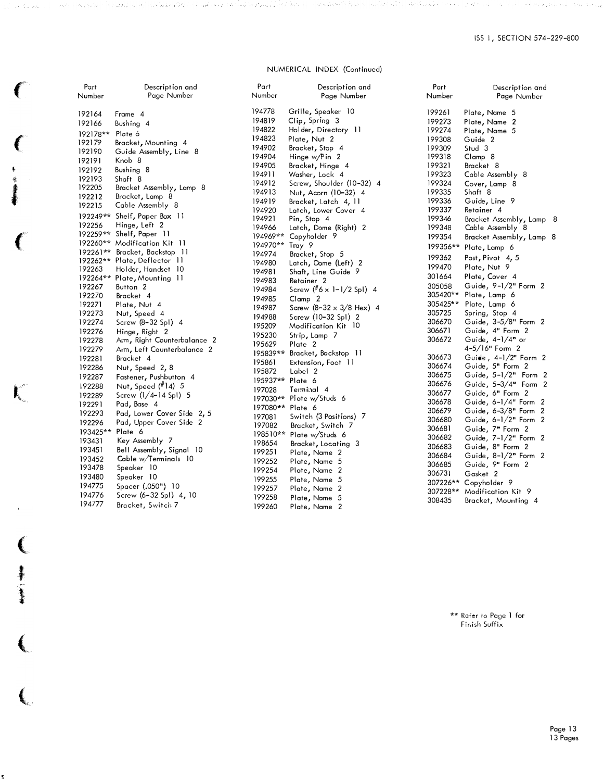#### NUMERICAL INDEX (Continued)

| Part             | Description and               | Part             | Description and                    |  |
|------------------|-------------------------------|------------------|------------------------------------|--|
| Number           | Page Number                   | Number           | Page Number                        |  |
| 192164           | Frame 4                       | 194778           | Grille, Speaker 10                 |  |
| 192166           | Bushing 4                     | 194819           | Clip, Spring 3                     |  |
|                  |                               | 194822           | Holder, Directory 11               |  |
| 192178** Plate 6 |                               | 194823           | Plate, Nut 2                       |  |
| 192179           | Bracket, Mounting 4           | 194902           | Bracket, Stop 4                    |  |
| 192190           | Guide Assembly, Line 8        | 194904           | Hinge $w/P$ in 2                   |  |
| 192191           | Knob 8                        | 194905           | Bracket, Hinge 4                   |  |
| 192192           | Bushing 8                     | 194911           | Washer, Lock 4                     |  |
| 192193           | Shaft 8                       | 194912           | Screw, Shoulder (10-32) 4          |  |
| 192205           | Bracket Assembly, Lamp 8      | 194913           | Nut, Acorn (10-32) 4               |  |
| 192212           | Bracket, Lamp 8               | 194919           | Bracket, Latch 4, 11               |  |
| 192215           | Cable Assembly 8              | 194920           | Latch, Lower Cover 4               |  |
| 192249**         | Shelf, Paper Box 11           | 194921           | Pin, Stop 4                        |  |
| 192256           | Hinge, Left 2                 | 194966           | Latch, Dome (Right) 2              |  |
|                  | 192259** Shelf, Paper 11      |                  | 194969** Copyholder 9              |  |
|                  | 192260** Modification Kit 11  | 194970**         | Tray 9                             |  |
|                  | 192261** Bracket, Backstop 11 | 194974           | Bracket, Stop 5                    |  |
|                  | 192262** Plate, Deflector 11  | 194980           | Latch, Dome (Left) 2               |  |
| 192263           | Holder, Handset 10            | 194981           | Shaft, Line Guide 9                |  |
|                  | 192264** Plate, Mounting 11   | 194983           | Retainer <sub>2</sub>              |  |
| 192267           | Button <sub>2</sub>           | 194984           | Screw $(^#6 \times 1 - 1/2$ Spl) 4 |  |
| 192270           | Bracket 4                     | 194985           | Clamp 2                            |  |
| 192271           | Plate, Nut 4                  | 194987           | Screw $(8-32 \times 3/8$ Hex) 4    |  |
| 192273           | Nut, Speed 4                  | 194988           | Screw (10-32 Spl) 2                |  |
| 192274           | Screw $(8-32$ SpI) 4          | 195209           | Modification Kit 10                |  |
| 192276           | Hinge, Right 2                | 195230           | Strip, Lamp 7                      |  |
| 192278           | Arm, Right Counterbalance 2   | 195629           | Plate 2                            |  |
| 192279           | Arm, Left Caunterbalance 2    |                  |                                    |  |
| 192281           | Bracket 4                     | 195839**         | Bracket, Backstop 11               |  |
| 192286           | Nut, Speed 2, 8               | 195861           | Extension, Foot 11                 |  |
| 192287           | Fastener, Pushbutton 4        | 195872           | Label 2                            |  |
| 192288           | Nut, Speed (#14) 5            | 195937** Plate 6 |                                    |  |
| 192289           | Screw $(1/4 - 14$ Spl) 5      | 197028           | Terminal 4                         |  |
| 192291           | Pad, Base 4                   |                  | 197030** Plate w/Studs 6           |  |
| 192293           | Pad, Lower Cover Side 2, 5    | 197080** Plate 6 |                                    |  |
| 192296           | Pad, Upper Cover Side 2       | 197081           | Switch (3 Positions) 7             |  |
| 193425** Plate 6 |                               | 197082           | Bracket, Switch 7                  |  |
|                  |                               | 198510**         | Plate w/Studs 6                    |  |
| 193431           | Key Assembly 7                | 198654           | Bracket, Locating 3                |  |
| 193451           | Bell Assembly, Signal 10      | 199251           | Plate, Name 2                      |  |
| 193452           | Cable w/Terminals 10          | 199252           | Plate, Name 5                      |  |
| 193478           | Speaker 10                    | 199254           | Plate, Name 2                      |  |
| 193480           | Speaker 10                    | 199255           | Plate, Name 5                      |  |
| 194775           | Spacer (.050") 10             | 199257           | Plate, Name 2                      |  |
| 194776           | Screw (6-32 Spl) 4, 10        | 199258           | Plate, Name 5                      |  |
| 194777           | Bracket, Switch 7             | 199260           | Plate, Name 2                      |  |
|                  |                               |                  |                                    |  |

十五 一九

ĭ

Part Number 199261 199273 199274 199308 199309 199318 199321 199323 199324 199335 199336 199337 199346 199348 199354 199356\*\* Plate, Lamp 6 199362 199470 301664 305058 305420\*\* 305425\*\* Plote, Lamp 6 305725 306670 306671 306672 306673 306674 306675 306676 306677 306678 306679 306680 306681 306682 306683 306684 306685 306731 307226\*\* C opyholder 9 307228\*\* Modification Kit 9 308435 Bracket, Mounting 4 Description and Page Number Plate, Name 5 Plate, Name 2 Plate, Name 5 Guide 2 Stud 3 Clamp 8 Bracket 8 Cable Assembly 8 Cover, Lamp 8 Shaft 8 Guide, Line 9 Retainer 4 Bracket Assembly, Lamp 8 Cable Assembly 8 Bracket Assembly, Lamp 8 Post, Pivot 4, 5 Plate, Nut 9 Plate, Cover 4 Guide, 9-1/2" Form 2 Plate, Lamp 6 Spring, Stop 4 Guide, 3-5/8" Form 2 Guide, 4" Form 2 Guide, 4-1/4" or 4-5/16" Form 2 Guide, 4-1/2" Form 2 Guide, 5" Form 2 Guide, 5-1/2" Form 2 Guide, 5-3/4" Form 2 Guide, 6" Form 2 Guide, 6-1/4" Form 2 Guide, 6-3/8" Form 2 Guide, 6-1/2" Form <sup>2</sup> Guide, 7" Form 2 Guide, 7-1/2" Form 2 Guide, 8" Form 2 Guide, 8-1/2" Form <sup>2</sup> Guide, 9" Form 2 Gasket 2

> \*\* Refer to Page 1 for Finish Suffix